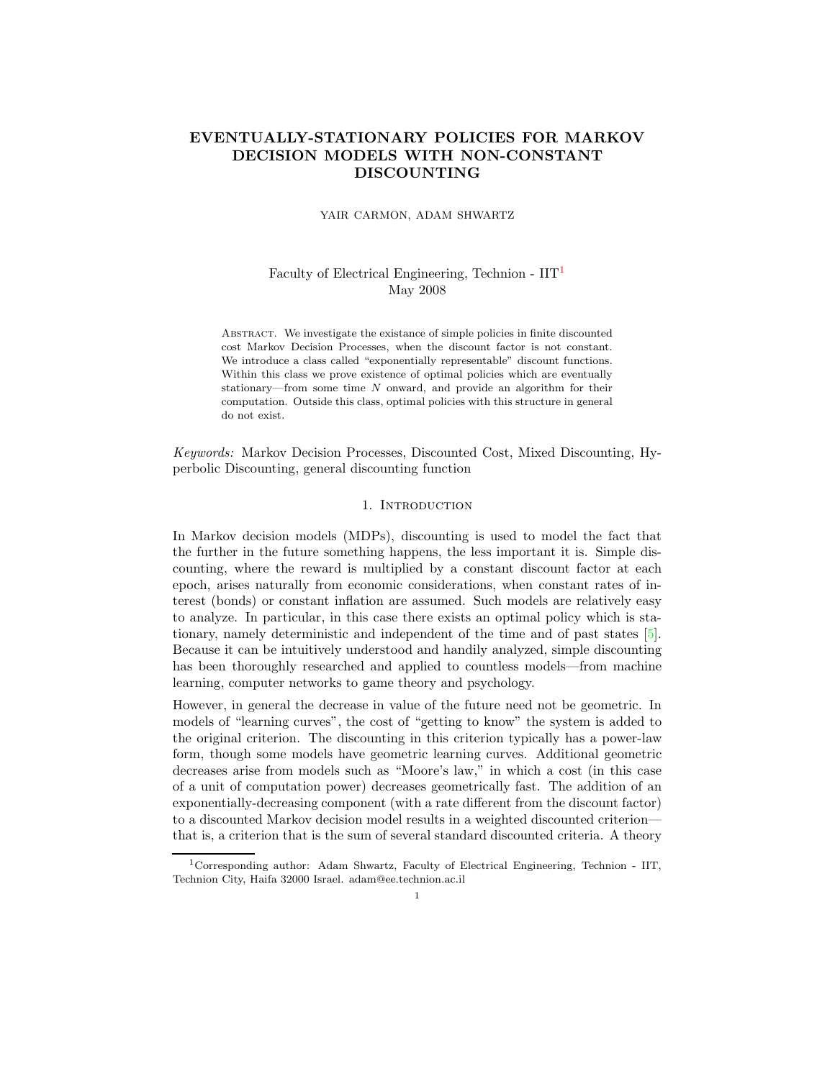# EVENTUALLY-STATIONARY POLICIES FOR MARKOV DECISION MODELS WITH NON-CONSTANT DISCOUNTING

#### YAIR CARMON, ADAM SHWARTZ

## Faculty of Electrical Engineering, Technion -  $\text{IIT}^1$  $\text{IIT}^1$ May 2008

Abstract. We investigate the existance of simple policies in finite discounted cost Markov Decision Processes, when the discount factor is not constant. We introduce a class called "exponentially representable" discount functions. Within this class we prove existence of optimal policies which are eventually stationary—from some time N onward, and provide an algorithm for their computation. Outside this class, optimal policies with this structure in general do not exist.

Keywords: Markov Decision Processes, Discounted Cost, Mixed Discounting, Hyperbolic Discounting, general discounting function

## 1. INTRODUCTION

In Markov decision models (MDPs), discounting is used to model the fact that the further in the future something happens, the less important it is. Simple discounting, where the reward is multiplied by a constant discount factor at each epoch, arises naturally from economic considerations, when constant rates of interest (bonds) or constant inflation are assumed. Such models are relatively easy to analyze. In particular, in this case there exists an optimal policy which is stationary, namely deterministic and independent of the time and of past states [\[5\]](#page-9-0). Because it can be intuitively understood and handily analyzed, simple discounting has been thoroughly researched and applied to countless models—from machine learning, computer networks to game theory and psychology.

However, in general the decrease in value of the future need not be geometric. In models of "learning curves", the cost of "getting to know" the system is added to the original criterion. The discounting in this criterion typically has a power-law form, though some models have geometric learning curves. Additional geometric decreases arise from models such as "Moore's law," in which a cost (in this case of a unit of computation power) decreases geometrically fast. The addition of an exponentially-decreasing component (with a rate different from the discount factor) to a discounted Markov decision model results in a weighted discounted criterion that is, a criterion that is the sum of several standard discounted criteria. A theory

<span id="page-0-0"></span><sup>1</sup>Corresponding author: Adam Shwartz, Faculty of Electrical Engineering, Technion - IIT, Technion City, Haifa 32000 Israel. adam@ee.technion.ac.il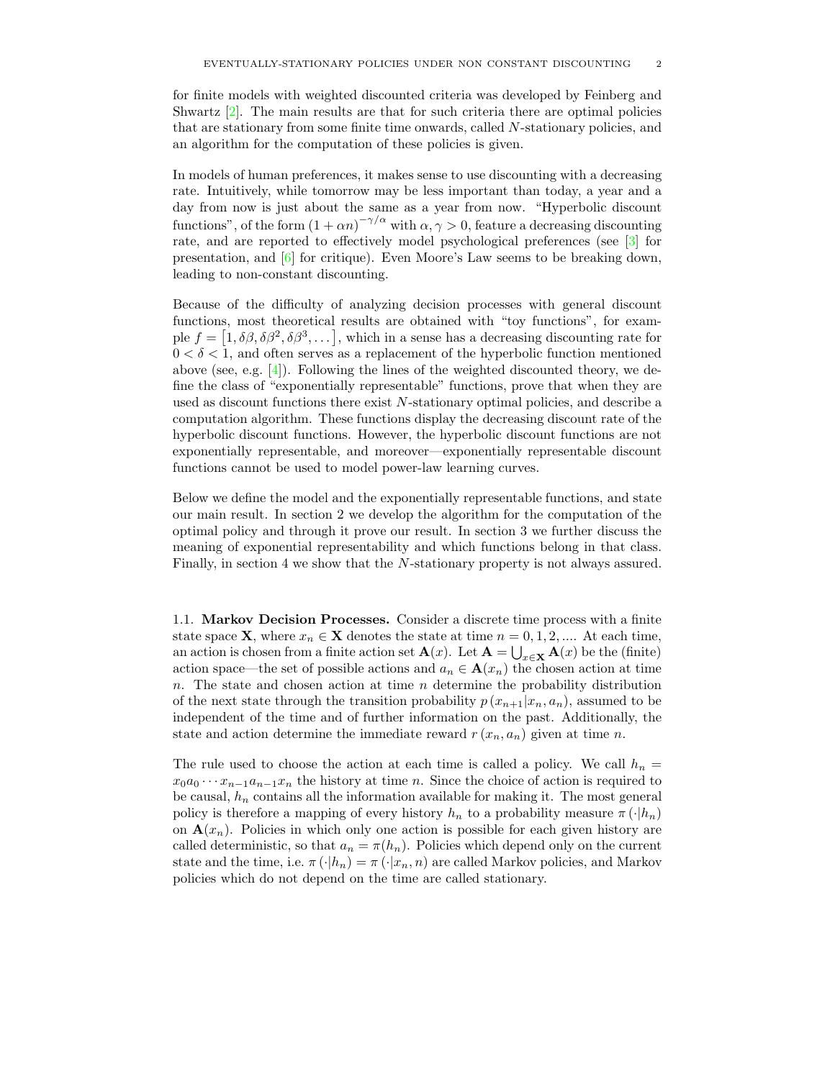for finite models with weighted discounted criteria was developed by Feinberg and Shwartz [\[2\]](#page-9-1). The main results are that for such criteria there are optimal policies that are stationary from some finite time onwards, called N-stationary policies, and an algorithm for the computation of these policies is given.

In models of human preferences, it makes sense to use discounting with a decreasing rate. Intuitively, while tomorrow may be less important than today, a year and a day from now is just about the same as a year from now. "Hyperbolic discount functions", of the form  $(1 + \alpha n)^{-\gamma/\alpha}$  with  $\alpha, \gamma > 0$ , feature a decreasing discounting rate, and are reported to effectively model psychological preferences (see [\[3](#page-9-2)] for presentation, and  $[6]$  for critique). Even Moore's Law seems to be breaking down, leading to non-constant discounting.

Because of the difficulty of analyzing decision processes with general discount functions, most theoretical results are obtained with "toy functions", for example  $f = [1, \delta\beta, \delta\beta^2, \delta\beta^3, \dots]$ , which in a sense has a decreasing discounting rate for  $0 < \delta < 1$ , and often serves as a replacement of the hyperbolic function mentioned above (see, e.g.  $[4]$ ). Following the lines of the weighted discounted theory, we define the class of "exponentially representable" functions, prove that when they are used as discount functions there exist N-stationary optimal policies, and describe a computation algorithm. These functions display the decreasing discount rate of the hyperbolic discount functions. However, the hyperbolic discount functions are not exponentially representable, and moreover—exponentially representable discount functions cannot be used to model power-law learning curves.

Below we define the model and the exponentially representable functions, and state our main result. In section 2 we develop the algorithm for the computation of the optimal policy and through it prove our result. In section 3 we further discuss the meaning of exponential representability and which functions belong in that class. Finally, in section 4 we show that the N-stationary property is not always assured.

1.1. Markov Decision Processes. Consider a discrete time process with a finite state space **X**, where  $x_n \in \mathbf{X}$  denotes the state at time  $n = 0, 1, 2, \dots$ . At each time, an action is chosen from a finite action set  $\mathbf{A}(x)$ . Let  $\mathbf{A} = \bigcup_{x \in \mathbf{X}} \mathbf{A}(x)$  be the (finite) action space—the set of possible actions and  $a_n \in \mathbf{A}(x_n)$  the chosen action at time n. The state and chosen action at time  $n$  determine the probability distribution of the next state through the transition probability  $p(x_{n+1}|x_n, a_n)$ , assumed to be independent of the time and of further information on the past. Additionally, the state and action determine the immediate reward  $r(x_n, a_n)$  given at time n.

The rule used to choose the action at each time is called a policy. We call  $h_n =$  $x_0a_0 \cdots x_{n-1}a_{n-1}x_n$  the history at time n. Since the choice of action is required to be causal,  $h_n$  contains all the information available for making it. The most general policy is therefore a mapping of every history  $h_n$  to a probability measure  $\pi(\cdot|h_n)$ on  $\mathbf{A}(x_n)$ . Policies in which only one action is possible for each given history are called deterministic, so that  $a_n = \pi(h_n)$ . Policies which depend only on the current state and the time, i.e.  $\pi(\cdot|h_n) = \pi(\cdot|x_n, n)$  are called Markov policies, and Markov policies which do not depend on the time are called stationary.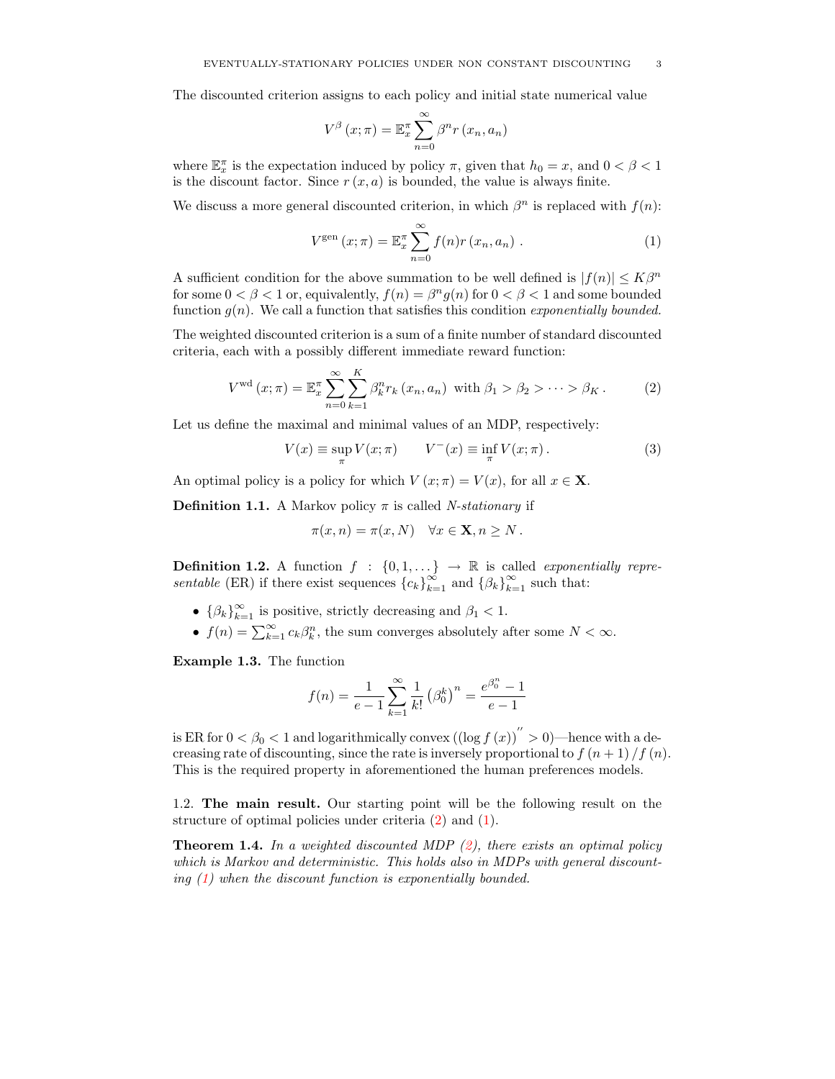The discounted criterion assigns to each policy and initial state numerical value

$$
V^{\beta}(x;\pi) = \mathbb{E}_{x}^{\pi} \sum_{n=0}^{\infty} \beta^{n} r(x_{n}, a_{n})
$$

where  $\mathbb{E}_x^{\pi}$  is the expectation induced by policy  $\pi$ , given that  $h_0 = x$ , and  $0 < \beta < 1$ is the discount factor. Since  $r(x, a)$  is bounded, the value is always finite.

We discuss a more general discounted criterion, in which  $\beta^n$  is replaced with  $f(n)$ :

<span id="page-2-1"></span>
$$
V^{\text{gen}}\left(x;\pi\right) = \mathbb{E}_x^{\pi} \sum_{n=0}^{\infty} f(n)r\left(x_n, a_n\right). \tag{1}
$$

A sufficient condition for the above summation to be well defined is  $|f(n)| \leq K\beta^n$ for some  $0 < \beta < 1$  or, equivalently,  $f(n) = \beta^n g(n)$  for  $0 < \beta < 1$  and some bounded function  $g(n)$ . We call a function that satisfies this condition exponentially bounded.

The weighted discounted criterion is a sum of a finite number of standard discounted criteria, each with a possibly different immediate reward function:

$$
V^{\text{wd}}\left(x;\pi\right) = \mathbb{E}_x^{\pi} \sum_{n=0}^{\infty} \sum_{k=1}^{K} \beta_k^n r_k\left(x_n, a_n\right) \text{ with } \beta_1 > \beta_2 > \cdots > \beta_K. \tag{2}
$$

Let us define the maximal and minimal values of an MDP, respectively:

<span id="page-2-0"></span>
$$
V(x) \equiv \sup_{\pi} V(x; \pi) \qquad V^{-}(x) \equiv \inf_{\pi} V(x; \pi). \tag{3}
$$

An optimal policy is a policy for which  $V(x; \pi) = V(x)$ , for all  $x \in \mathbf{X}$ .

**Definition 1.1.** A Markov policy  $\pi$  is called *N-stationary* if

$$
\pi(x, n) = \pi(x, N) \quad \forall x \in \mathbf{X}, n \geq N.
$$

<span id="page-2-3"></span>**Definition 1.2.** A function  $f : \{0,1,\ldots\} \rightarrow \mathbb{R}$  is called exponentially repre*sentable* (ER) if there exist sequences  ${c_k}_{k=1}^{\infty}$  and  ${(\beta_k)}_{k=1}^{\infty}$  such that:

- $\{\beta_k\}_{k=1}^{\infty}$  is positive, strictly decreasing and  $\beta_1 < 1$ .
- $f(n) = \sum_{k=1}^{\infty} c_k \beta_k^n$ , the sum converges absolutely after some  $N < \infty$ .

Example 1.3. The function

$$
f(n) = \frac{1}{e-1} \sum_{k=1}^{\infty} \frac{1}{k!} (\beta_0^k)^n = \frac{e^{\beta_0^n} - 1}{e-1}
$$

is ER for  $0 < \beta_0 < 1$  and logarithmically convex  $\left(\left(\log f\left(x\right)\right)^{''} > 0\right)$ —hence with a decreasing rate of discounting, since the rate is inversely proportional to  $f(n+1)/f(n)$ . This is the required property in aforementioned the human preferences models.

<span id="page-2-2"></span>1.2. The main result. Our starting point will be the following result on the structure of optimal policies under criteria [\(2\)](#page-2-0) and [\(1\)](#page-2-1).

**Theorem 1.4.** In a weighted discounted MDP  $(2)$ , there exists an optimal policy which is Markov and deterministic. This holds also in MDPs with general discounting [\(1\)](#page-2-1) when the discount function is exponentially bounded.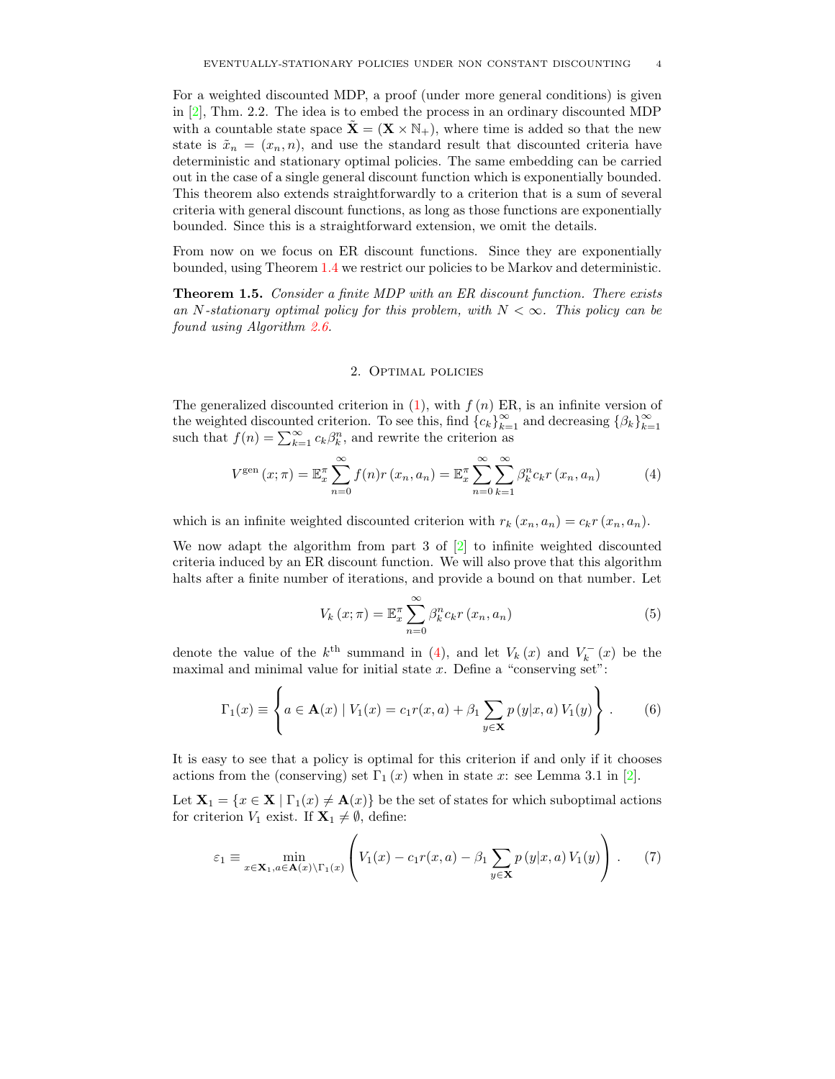For a weighted discounted MDP, a proof (under more general conditions) is given in [\[2\]](#page-9-1), Thm. 2.2. The idea is to embed the process in an ordinary discounted MDP with a countable state space  $\tilde{\mathbf{X}} = (\mathbf{X} \times \mathbb{N}_{+})$ , where time is added so that the new state is  $\tilde{x}_n = (x_n, n)$ , and use the standard result that discounted criteria have deterministic and stationary optimal policies. The same embedding can be carried out in the case of a single general discount function which is exponentially bounded. This theorem also extends straightforwardly to a criterion that is a sum of several criteria with general discount functions, as long as those functions are exponentially bounded. Since this is a straightforward extension, we omit the details.

<span id="page-3-3"></span>From now on we focus on ER discount functions. Since they are exponentially bounded, using Theorem [1.4](#page-2-2) we restrict our policies to be Markov and deterministic.

Theorem 1.5. Consider a finite MDP with an ER discount function. There exists an N-stationary optimal policy for this problem, with  $N < \infty$ . This policy can be found using Algorithm [2.6.](#page-6-0)

## <span id="page-3-0"></span>2. Optimal policies

The generalized discounted criterion in  $(1)$ , with  $f(n)$  ER, is an infinite version of the weighted discounted criterion. To see this, find  $\{c_k\}_{k=1}^{\infty}$  and decreasing  $\{\beta_k\}_{k=1}^{\infty}$  $k=1$ such that  $f(n) = \sum_{k=1}^{\infty} c_k \beta_k^n$ , and rewrite the criterion as

$$
V^{\text{gen}}\left(x;\pi\right) = \mathbb{E}_x^{\pi} \sum_{n=0}^{\infty} f(n)r\left(x_n, a_n\right) = \mathbb{E}_x^{\pi} \sum_{n=0}^{\infty} \sum_{k=1}^{\infty} \beta_k^n c_k r\left(x_n, a_n\right) \tag{4}
$$

which is an infinite weighted discounted criterion with  $r_k(x_n, a_n) = c_k r(x_n, a_n)$ .

We now adapt the algorithm from part 3 of  $[2]$  to infinite weighted discounted criteria induced by an ER discount function. We will also prove that this algorithm halts after a finite number of iterations, and provide a bound on that number. Let

<span id="page-3-2"></span><span id="page-3-1"></span>
$$
V_k(x; \pi) = \mathbb{E}_x^{\pi} \sum_{n=0}^{\infty} \beta_k^n c_k r(x_n, a_n)
$$
 (5)

denote the value of the  $k^{\text{th}}$  summand in [\(4\)](#page-3-0), and let  $V_k(x)$  and  $V_k^-(x)$  be the maximal and minimal value for initial state  $x$ . Define a "conserving set":

$$
\Gamma_1(x) \equiv \left\{ a \in \mathbf{A}(x) \mid V_1(x) = c_1 r(x, a) + \beta_1 \sum_{y \in \mathbf{X}} p(y|x, a) V_1(y) \right\}.
$$
 (6)

It is easy to see that a policy is optimal for this criterion if and only if it chooses actions from the (conserving) set  $\Gamma_1(x)$  when in state x: see Lemma 3.1 in [\[2\]](#page-9-1).

Let  $X_1 = \{x \in X \mid \Gamma_1(x) \neq A(x)\}\$ be the set of states for which suboptimal actions for criterion  $V_1$  exist. If  $\mathbf{X}_1 \neq \emptyset$ , define:

$$
\varepsilon_1 \equiv \min_{x \in \mathbf{X}_1, a \in \mathbf{A}(x) \backslash \Gamma_1(x)} \left( V_1(x) - c_1 r(x, a) - \beta_1 \sum_{y \in \mathbf{X}} p(y|x, a) V_1(y) \right) . \tag{7}
$$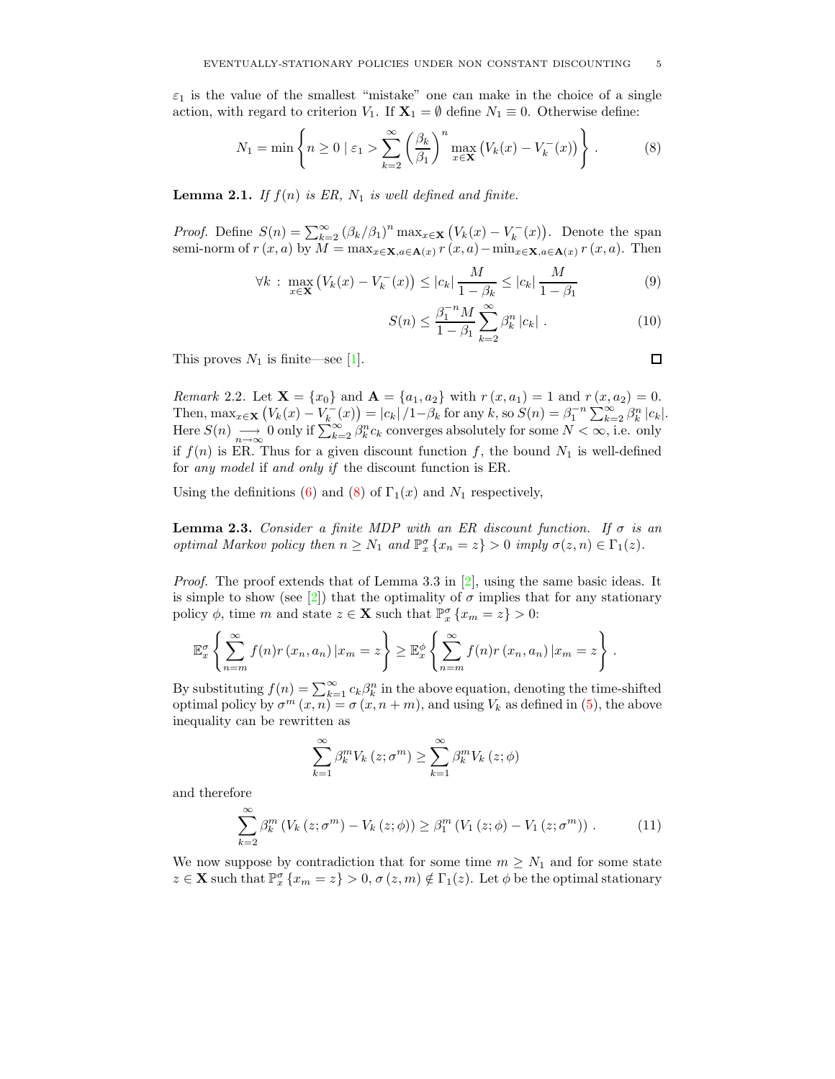$\varepsilon_1$  is the value of the smallest "mistake" one can make in the choice of a single action, with regard to criterion  $V_1$ . If  $\mathbf{X}_1 = \emptyset$  define  $N_1 \equiv 0$ . Otherwise define:

$$
N_1 = \min\left\{ n \ge 0 \mid \varepsilon_1 > \sum_{k=2}^{\infty} \left( \frac{\beta_k}{\beta_1} \right)^n \max_{x \in \mathbf{X}} \left( V_k(x) - V_k^-(x) \right) \right\}.
$$
 (8)

**Lemma 2.1.** If  $f(n)$  is ER,  $N_1$  is well defined and finite.

*Proof.* Define  $S(n) = \sum_{k=2}^{\infty} (\beta_k/\beta_1)^n \max_{x \in \mathbf{X}} (V_k(x) - V_k^-(x))$ . Denote the span semi-norm of  $r(x, a)$  by  $\tilde{M} = \max_{x \in \mathbf{X}, a \in \mathbf{A}(x)} r(x, a) - \min_{x \in \mathbf{X}, a \in \mathbf{A}(x)} r(x, a)$ . Then

$$
\forall k : \max_{x \in \mathbf{X}} \left( V_k(x) - V_k^-(x) \right) \le |c_k| \frac{M}{1 - \beta_k} \le |c_k| \frac{M}{1 - \beta_1}
$$
(9)

<span id="page-4-0"></span>
$$
S(n) \le \frac{\beta_1^{-n} M}{1 - \beta_1} \sum_{k=2}^{\infty} \beta_k^n |c_k| \tag{10}
$$

This proves  $N_1$  is finite—see [\[1\]](#page-9-5).

Remark 2.2. Let  $X = \{x_0\}$  and  $A = \{a_1, a_2\}$  with  $r(x, a_1) = 1$  and  $r(x, a_2) = 0$ . Then,  $\max_{x \in \mathbf{X}} (V_k(x) - V_k^{-}(x)) = |c_k|/1 - \beta_k$  for any  $k$ , so  $S(n) = \beta_1^{-n} \sum_{k=2}^{\infty} \beta_k^{n} |c_k|$ . Here  $S(n) \longrightarrow 0$  only if  $\sum_{k=2}^{\infty} \beta_k^n c_k$  converges absolutely for some  $N < \infty$ , i.e. only if  $f(n)$  is ER. Thus for a given discount function f, the bound  $N_1$  is well-defined for any model if and only if the discount function is ER.

<span id="page-4-2"></span>Using the definitions [\(6\)](#page-3-1) and [\(8\)](#page-4-0) of  $\Gamma_1(x)$  and  $N_1$  respectively,

**Lemma 2.3.** Consider a finite MDP with an ER discount function. If  $\sigma$  is an optimal Markov policy then  $n \geq N_1$  and  $\mathbb{P}^{\sigma}_x \{x_n = z\} > 0$  imply  $\sigma(z, n) \in \Gamma_1(z)$ .

*Proof.* The proof extends that of Lemma 3.3 in  $[2]$ , using the same basic ideas. It is simple to show (see [\[2\]](#page-9-1)) that the optimality of  $\sigma$  implies that for any stationary policy  $\phi$ , time m and state  $z \in \mathbf{X}$  such that  $\mathbb{P}^{\sigma}_x \{x_m = z\} > 0$ :

$$
\mathbb{E}_x^{\sigma}\left\{\sum_{n=m}^{\infty}f(n)r\left(x_n,a_n\right)|x_m=z\right\}\geq \mathbb{E}_x^{\phi}\left\{\sum_{n=m}^{\infty}f(n)r\left(x_n,a_n\right)|x_m=z\right\}.
$$

By substituting  $f(n) = \sum_{k=1}^{\infty} c_k \beta_k^n$  in the above equation, denoting the time-shifted optimal policy by  $\sigma^m(x,n) = \sigma(x,n+m)$ , and using  $V_k$  as defined in [\(5\)](#page-3-2), the above inequality can be rewritten as

<span id="page-4-1"></span>
$$
\sum_{k=1}^{\infty} \beta_k^m V_k(z; \sigma^m) \ge \sum_{k=1}^{\infty} \beta_k^m V_k(z; \phi)
$$

and therefore

$$
\sum_{k=2}^{\infty} \beta_k^m \left( V_k \left( z; \sigma^m \right) - V_k \left( z; \phi \right) \right) \geq \beta_1^m \left( V_1 \left( z; \phi \right) - V_1 \left( z; \sigma^m \right) \right). \tag{11}
$$

We now suppose by contradiction that for some time  $m \geq N_1$  and for some state  $z \in \mathbf{X}$  such that  $\mathbb{P}_x^{\sigma} \{x_m = z\} > 0$ ,  $\sigma(z,m) \notin \Gamma_1(z)$ . Let  $\phi$  be the optimal stationary

<span id="page-4-3"></span>
$$
\Box
$$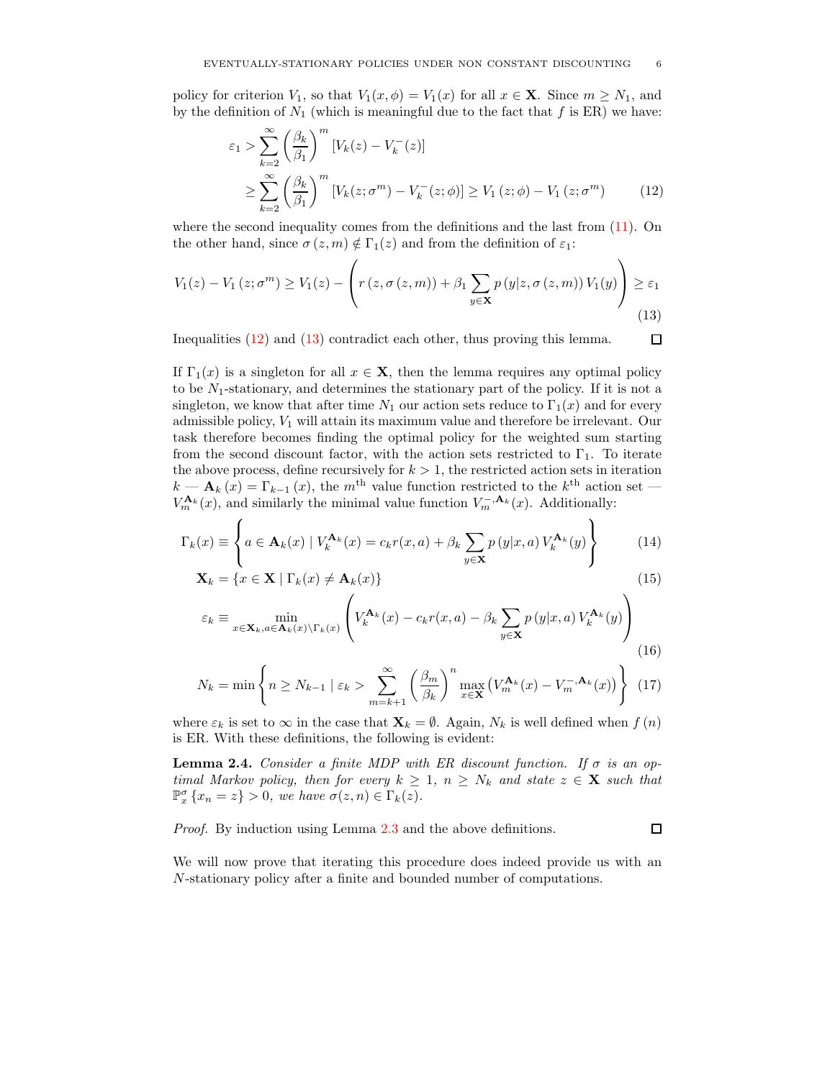policy for criterion  $V_1$ , so that  $V_1(x, \phi) = V_1(x)$  for all  $x \in \mathbf{X}$ . Since  $m \geq N_1$ , and by the definition of  $N_1$  (which is meaningful due to the fact that f is ER) we have:

$$
\varepsilon_1 > \sum_{k=2}^{\infty} \left(\frac{\beta_k}{\beta_1}\right)^m \left[V_k(z) - V_k^-(z)\right]
$$
  
\n
$$
\geq \sum_{k=2}^{\infty} \left(\frac{\beta_k}{\beta_1}\right)^m \left[V_k(z;\sigma^m) - V_k^-(z;\phi)\right] \geq V_1(z;\phi) - V_1(z;\sigma^m) \tag{12}
$$

where the second inequality comes from the definitions and the last from [\(11\)](#page-4-1). On the other hand, since  $\sigma(z, m) \notin \Gamma_1(z)$  and from the definition of  $\varepsilon_1$ :

$$
V_1(z) - V_1(z; \sigma^m) \ge V_1(z) - \left( r(z, \sigma(z, m)) + \beta_1 \sum_{y \in \mathbf{X}} p(y|z, \sigma(z, m)) V_1(y) \right) \ge \varepsilon_1
$$
\n(13)

Inequalities [\(12\)](#page-5-0) and [\(13\)](#page-5-1) contradict each other, thus proving this lemma.

<span id="page-5-1"></span><span id="page-5-0"></span> $\Box$ 

If  $\Gamma_1(x)$  is a singleton for all  $x \in \mathbf{X}$ , then the lemma requires any optimal policy to be  $N_1$ -stationary, and determines the stationary part of the policy. If it is not a singleton, we know that after time  $N_1$  our action sets reduce to  $\Gamma_1(x)$  and for every admissible policy,  $V_1$  will attain its maximum value and therefore be irrelevant. Our task therefore becomes finding the optimal policy for the weighted sum starting from the second discount factor, with the action sets restricted to  $\Gamma_1$ . To iterate the above process, define recursively for  $k > 1$ , the restricted action sets in iteration  $k - \mathbf{A}_k(x) = \Gamma_{k-1}(x)$ , the m<sup>th</sup> value function restricted to the  $k^{\text{th}}$  action set —  $V_m^{\mathbf{A}_k}(x)$ , and similarly the minimal value function  $V_m^{-,\mathbf{A}_k}(x)$ . Additionally:

$$
\Gamma_k(x) \equiv \left\{ a \in \mathbf{A}_k(x) \mid V_k^{\mathbf{A}_k}(x) = c_k r(x, a) + \beta_k \sum_{y \in \mathbf{X}} p(y|x, a) V_k^{\mathbf{A}_k}(y) \right\}
$$
(14)

$$
\mathbf{X}_k = \{ x \in \mathbf{X} \mid \Gamma_k(x) \neq \mathbf{A}_k(x) \}
$$
\n<sup>(15)</sup>

$$
\varepsilon_{k} \equiv \min_{x \in \mathbf{X}_{k}, a \in \mathbf{A}_{k}(x) \backslash \Gamma_{k}(x)} \left( V_{k}^{\mathbf{A}_{k}}(x) - c_{k}r(x, a) - \beta_{k} \sum_{y \in \mathbf{X}} p\left(y|x, a\right) V_{k}^{\mathbf{A}_{k}}(y)\right) \tag{16}
$$

$$
N_k = \min\left\{n \ge N_{k-1} \mid \varepsilon_k > \sum_{m=k+1}^{\infty} \left(\frac{\beta_m}{\beta_k}\right)^n \max_{x \in \mathbf{X}} \left(V_m^{\mathbf{A}_k}(x) - V_m^{-,\mathbf{A}_k}(x)\right) \right\}
$$
(17)

<span id="page-5-2"></span>where  $\varepsilon_k$  is set to  $\infty$  in the case that  $\mathbf{X}_k = \emptyset$ . Again,  $N_k$  is well defined when  $f(n)$ is ER. With these definitions, the following is evident:

**Lemma 2.4.** Consider a finite MDP with ER discount function. If  $\sigma$  is an optimal Markov policy, then for every  $k \geq 1$ ,  $n \geq N_k$  and state  $z \in \mathbf{X}$  such that  $\mathbb{P}_{x}^{\sigma} \{x_{n} = z\} > 0$ , we have  $\sigma(z, n) \in \Gamma_{k}(z)$ .

Proof. By induction using Lemma [2.3](#page-4-2) and the above definitions.

 $\Box$ 

We will now prove that iterating this procedure does indeed provide us with an N-stationary policy after a finite and bounded number of computations.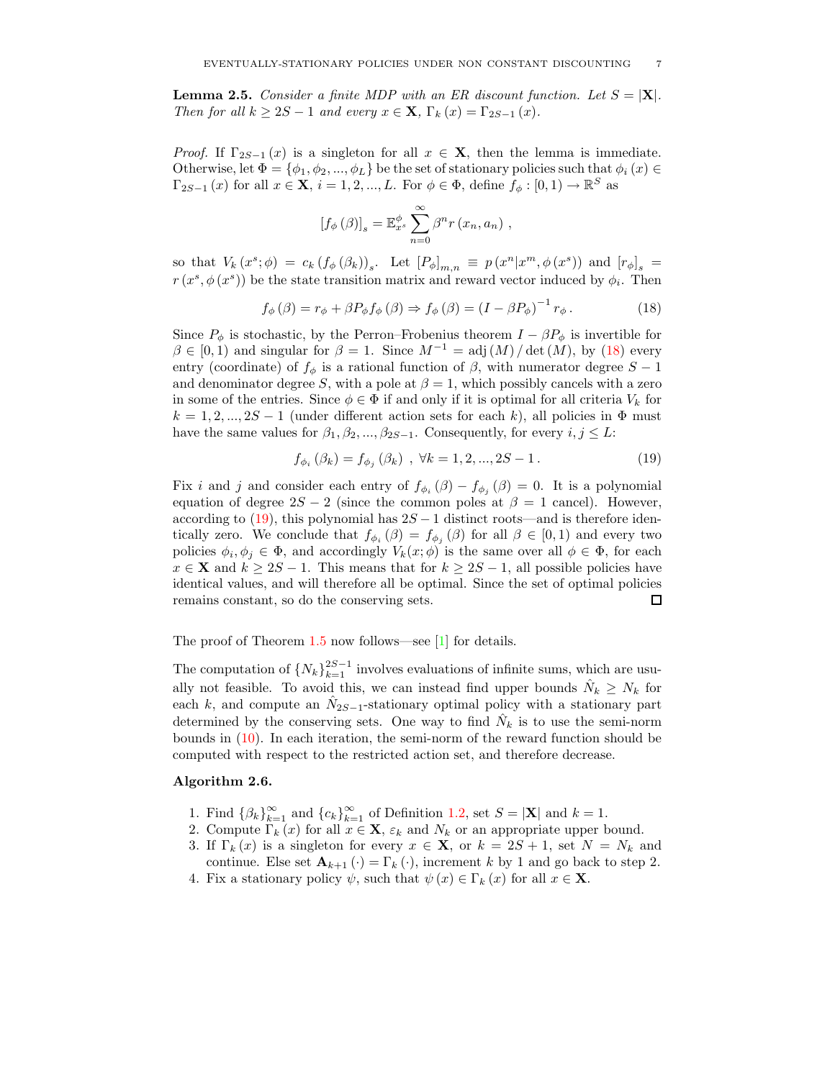**Lemma 2.5.** Consider a finite MDP with an ER discount function. Let  $S = |\mathbf{X}|$ . Then for all  $k \geq 2S - 1$  and every  $x \in \mathbf{X}$ ,  $\Gamma_k(x) = \Gamma_{2S-1}(x)$ .

*Proof.* If  $\Gamma_{2S-1}(x)$  is a singleton for all  $x \in \mathbf{X}$ , then the lemma is immediate. Otherwise, let  $\Phi = \{\phi_1, \phi_2, ..., \phi_L\}$  be the set of stationary policies such that  $\phi_i(x) \in$  $\Gamma_{2S-1}(x)$  for all  $x \in \mathbf{X}$ ,  $i = 1, 2, ..., L$ . For  $\phi \in \Phi$ , define  $f_{\phi}: [0, 1) \to \mathbb{R}^S$  as

<span id="page-6-1"></span>
$$
\left[f_{\phi}\left(\beta\right)\right]_{s} = \mathbb{E}_{x^{s}}^{\phi} \sum_{n=0}^{\infty} \beta^{n} r\left(x_{n}, a_{n}\right),
$$

so that  $V_k(x^s; \phi) = c_k (f_\phi(\beta_k))_s$ . Let  $[P_\phi]_{m,n} \equiv p(x^n | x^m, \phi(x^s))$  and  $[r_\phi]_s$  $r(x^s, \phi(x^s))$  be the state transition matrix and reward vector induced by  $\phi_i$ . Then

$$
f_{\phi}(\beta) = r_{\phi} + \beta P_{\phi} f_{\phi}(\beta) \Rightarrow f_{\phi}(\beta) = (I - \beta P_{\phi})^{-1} r_{\phi}.
$$
 (18)

Since  $P_{\phi}$  is stochastic, by the Perron–Frobenius theorem  $I - \beta P_{\phi}$  is invertible for  $\beta \in [0,1)$  and singular for  $\beta = 1$ . Since  $M^{-1} = adj(M)/\det(M)$ , by [\(18\)](#page-6-1) every entry (coordinate) of  $f_{\phi}$  is a rational function of  $\beta$ , with numerator degree  $S - 1$ and denominator degree S, with a pole at  $\beta = 1$ , which possibly cancels with a zero in some of the entries. Since  $\phi \in \Phi$  if and only if it is optimal for all criteria  $V_k$  for  $k = 1, 2, ..., 2S - 1$  (under different action sets for each k), all policies in  $\Phi$  must have the same values for  $\beta_1, \beta_2, ..., \beta_{2S-1}$ . Consequently, for every  $i, j \leq L$ :

<span id="page-6-2"></span>
$$
f_{\phi_i}(\beta_k) = f_{\phi_j}(\beta_k) , \ \forall k = 1, 2, ..., 2S - 1.
$$
 (19)

Fix i and j and consider each entry of  $f_{\phi_i}(\beta) - f_{\phi_j}(\beta) = 0$ . It is a polynomial equation of degree  $2S - 2$  (since the common poles at  $\beta = 1$  cancel). However, according to [\(19\)](#page-6-2), this polynomial has  $2S - 1$  distinct roots—and is therefore identically zero. We conclude that  $f_{\phi_i}(\beta) = f_{\phi_j}(\beta)$  for all  $\beta \in [0,1)$  and every two policies  $\phi_i, \phi_j \in \Phi$ , and accordingly  $V_k(x; \phi)$  is the same over all  $\phi \in \Phi$ , for each  $x \in \mathbf{X}$  and  $k \ge 2S - 1$ . This means that for  $k \ge 2S - 1$ , all possible policies have identical values, and will therefore all be optimal. Since the set of optimal policies remains constant, so do the conserving sets. 口

The proof of Theorem [1.5](#page-3-3) now follows—see [\[1\]](#page-9-5) for details.

The computation of  $\{N_k\}_{k=1}^{2S-1}$  involves evaluations of infinite sums, which are usually not feasible. To avoid this, we can instead find upper bounds  $\hat{N}_k \geq N_k$  for each k, and compute an  $\hat{N}_{2S-1}$ -stationary optimal policy with a stationary part determined by the conserving sets. One way to find  $\hat{N}_k$  is to use the semi-norm bounds in [\(10\)](#page-4-3). In each iteration, the semi-norm of the reward function should be computed with respect to the restricted action set, and therefore decrease.

## <span id="page-6-0"></span>Algorithm 2.6.

- 1. Find  $\{\beta_k\}_{k=1}^{\infty}$  and  $\{c_k\}_{k=1}^{\infty}$  of Definition [1.2,](#page-2-3) set  $S = |\mathbf{X}|$  and  $k = 1$ .
- 2. Compute  $\Gamma_k(x)$  for all  $x \in \mathbf{X}$ ,  $\varepsilon_k$  and  $N_k$  or an appropriate upper bound.
- 3. If  $\Gamma_k(x)$  is a singleton for every  $x \in \mathbf{X}$ , or  $k = 2S + 1$ , set  $N = N_k$  and continue. Else set  $\mathbf{A}_{k+1}(\cdot) = \Gamma_k(\cdot)$ , increment k by 1 and go back to step 2.
- 4. Fix a stationary policy  $\psi$ , such that  $\psi(x) \in \Gamma_k(x)$  for all  $x \in \mathbf{X}$ .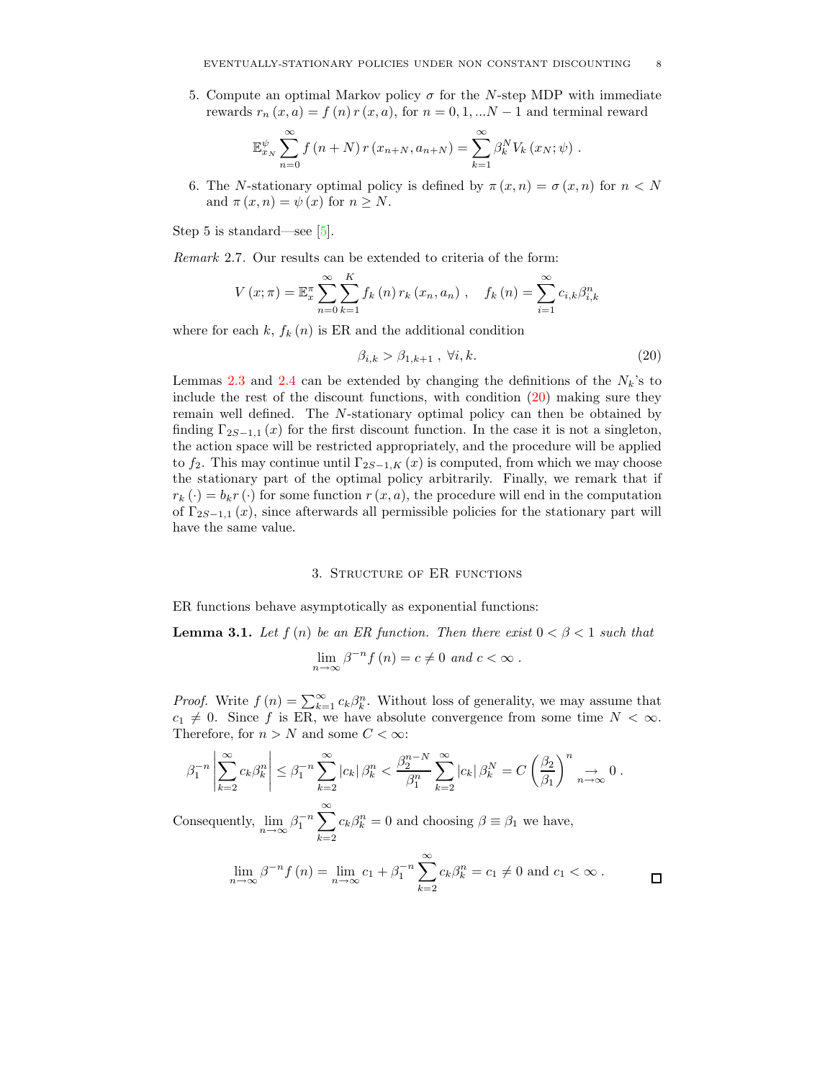5. Compute an optimal Markov policy  $\sigma$  for the N-step MDP with immediate rewards  $r_n(x, a) = f(n)r(x, a)$ , for  $n = 0, 1, ...N - 1$  and terminal reward

$$
\mathbb{E}_{x_N}^{\psi} \sum_{n=0}^{\infty} f(n+N) r(x_{n+N}, a_{n+N}) = \sum_{k=1}^{\infty} \beta_k^N V_k(x_N; \psi).
$$

6. The N-stationary optimal policy is defined by  $\pi(x, n) = \sigma(x, n)$  for  $n < N$ and  $\pi(x, n) = \psi(x)$  for  $n \geq N$ .

Step 5 is standard—see  $[5]$ .

Remark 2.7. Our results can be extended to criteria of the form:

$$
V(x; \pi) = \mathbb{E}_x^{\pi} \sum_{n=0}^{\infty} \sum_{k=1}^{K} f_k(n) r_k(x_n, a_n) , \quad f_k(n) = \sum_{i=1}^{\infty} c_{i,k} \beta_{i,k}^n
$$

where for each  $k, f_k(n)$  is ER and the additional condition

<span id="page-7-0"></span>
$$
\beta_{i,k} > \beta_{1,k+1} , \ \forall i,k. \tag{20}
$$

Lemmas [2.3](#page-4-2) and [2.4](#page-5-2) can be extended by changing the definitions of the  $N_k$ 's to include the rest of the discount functions, with condition [\(20\)](#page-7-0) making sure they remain well defined. The N-stationary optimal policy can then be obtained by finding  $\Gamma_{2S-1,1}(x)$  for the first discount function. In the case it is not a singleton, the action space will be restricted appropriately, and the procedure will be applied to  $f_2$ . This may continue until  $\Gamma_{2S-1,K}(x)$  is computed, from which we may choose the stationary part of the optimal policy arbitrarily. Finally, we remark that if  $r_k(\cdot) = b_k r(\cdot)$  for some function  $r(x, a)$ , the procedure will end in the computation of  $\Gamma_{2S-1,1}(x)$ , since afterwards all permissible policies for the stationary part will have the same value.

### 3. Structure of ER functions

<span id="page-7-1"></span>ER functions behave asymptotically as exponential functions:

**Lemma 3.1.** Let  $f(n)$  be an ER function. Then there exist  $0 < \beta < 1$  such that

$$
\lim_{n \to \infty} \beta^{-n} f(n) = c \neq 0 \text{ and } c < \infty.
$$

*Proof.* Write  $f(n) = \sum_{k=1}^{\infty} c_k \beta_k^n$ . Without loss of generality, we may assume that  $c_1 \neq 0$ . Since f is ER, we have absolute convergence from some time  $N < \infty$ . Therefore, for  $n > N$  and some  $C < \infty$ :

$$
\beta_1^{-n} \left| \sum_{k=2}^{\infty} c_k \beta_k^n \right| \leq \beta_1^{-n} \sum_{k=2}^{\infty} |c_k| \beta_k^n < \frac{\beta_2^{n-N}}{\beta_1^n} \sum_{k=2}^{\infty} |c_k| \beta_k^N = C \left( \frac{\beta_2}{\beta_1} \right)^n \underset{n \to \infty}{\to} 0 \, .
$$

Consequently,  $\lim_{n \to \infty} \beta_1^{-n} \sum_{n=1}^{\infty}$  $k=2$  $c_k \beta_k^n = 0$  and choosing  $\beta \equiv \beta_1$  we have,

$$
\lim_{n \to \infty} \beta^{-n} f(n) = \lim_{n \to \infty} c_1 + \beta_1^{-n} \sum_{k=2}^{\infty} c_k \beta_k^n = c_1 \neq 0 \text{ and } c_1 < \infty.
$$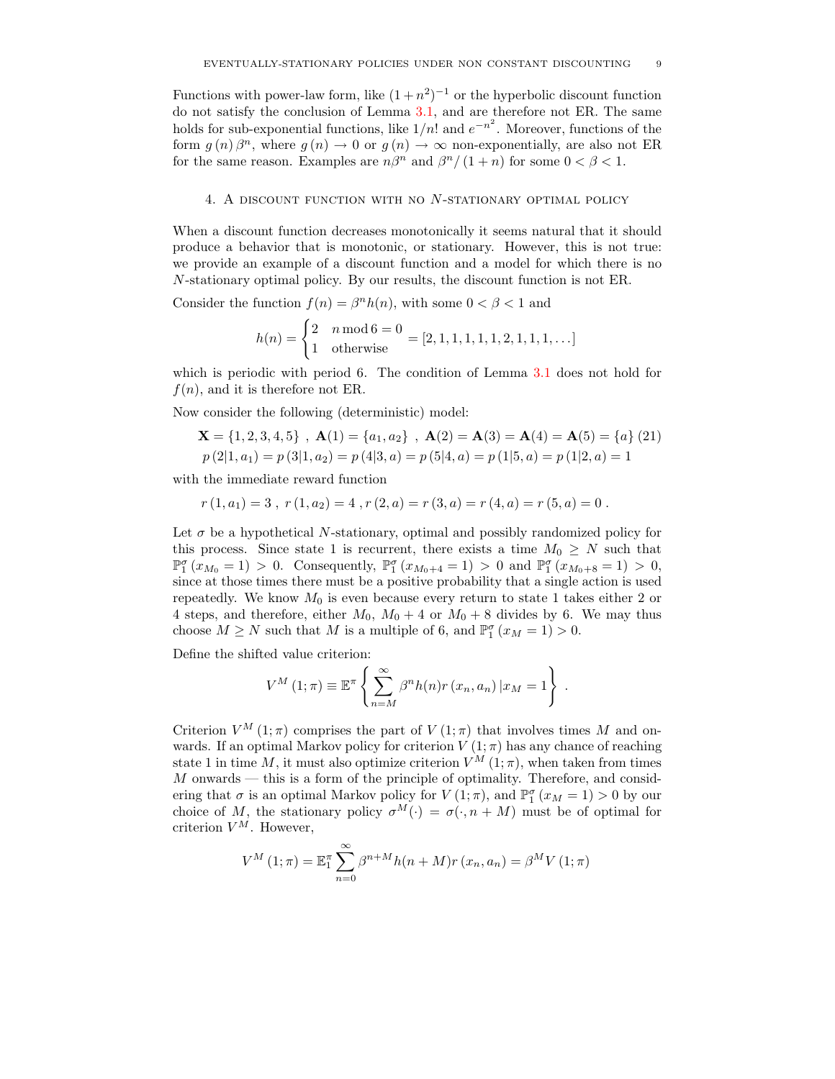Functions with power-law form, like  $(1+n^2)^{-1}$  or the hyperbolic discount function do not satisfy the conclusion of Lemma [3.1,](#page-7-1) and are therefore not ER. The same holds for sub-exponential functions, like  $1/n!$  and  $e^{-n^2}$ . Moreover, functions of the form  $g(n)\beta^n$ , where  $g(n) \to 0$  or  $g(n) \to \infty$  non-exponentially, are also not ER for the same reason. Examples are  $n\beta^n$  and  $\beta^n/(1+n)$  for some  $0 < \beta < 1$ .

### 4. A discount function with no N-stationary optimal policy

When a discount function decreases monotonically it seems natural that it should produce a behavior that is monotonic, or stationary. However, this is not true: we provide an example of a discount function and a model for which there is no N-stationary optimal policy. By our results, the discount function is not ER.

Consider the function  $f(n) = \beta^n h(n)$ , with some  $0 < \beta < 1$  and

$$
h(n) = \begin{cases} 2 & n \mod 6 = 0 \\ 1 & \text{otherwise} \end{cases} = [2, 1, 1, 1, 1, 1, 2, 1, 1, 1, \ldots]
$$

which is periodic with period 6. The condition of Lemma [3.1](#page-7-1) does not hold for  $f(n)$ , and it is therefore not ER.

Now consider the following (deterministic) model:

$$
\mathbf{X} = \{1, 2, 3, 4, 5\}, \ \mathbf{A}(1) = \{a_1, a_2\}, \ \mathbf{A}(2) = \mathbf{A}(3) = \mathbf{A}(4) = \mathbf{A}(5) = \{a\} (21)
$$
  

$$
p (2|1, a_1) = p (3|1, a_2) = p (4|3, a) = p (5|4, a) = p (1|5, a) = p (1|2, a) = 1
$$

with the immediate reward function

$$
r(1, a_1) = 3
$$
,  $r(1, a_2) = 4$ ,  $r(2, a) = r(3, a) = r(4, a) = r(5, a) = 0$ .

Let  $\sigma$  be a hypothetical N-stationary, optimal and possibly randomized policy for this process. Since state 1 is recurrent, there exists a time  $M_0 \geq N$  such that  $\mathbb{P}_1^{\sigma}(x_{M_0} = 1) > 0$ . Consequently,  $\mathbb{P}_1^{\sigma}(x_{M_0+4} = 1) > 0$  and  $\mathbb{P}_1^{\sigma}(x_{M_0+8} = 1) > 0$ , since at those times there must be a positive probability that a single action is used repeatedly. We know  $M_0$  is even because every return to state 1 takes either 2 or 4 steps, and therefore, either  $M_0$ ,  $M_0 + 4$  or  $M_0 + 8$  divides by 6. We may thus choose  $M \ge N$  such that M is a multiple of 6, and  $\mathbb{P}_1^{\sigma}(x_M = 1) > 0$ .

Define the shifted value criterion:

$$
V^M(1;\pi) \equiv \mathbb{E}^{\pi} \left\{ \sum_{n=M}^{\infty} \beta^n h(n) r(x_n, a_n) | x_M = 1 \right\}.
$$

Criterion  $V^M(1;\pi)$  comprises the part of  $V(1;\pi)$  that involves times M and onwards. If an optimal Markov policy for criterion  $V(1;\pi)$  has any chance of reaching state 1 in time M, it must also optimize criterion  $V^M(1;\pi)$ , when taken from times M onwards — this is a form of the principle of optimality. Therefore, and considering that  $\sigma$  is an optimal Markov policy for  $V(1;\pi)$ , and  $\mathbb{P}_1^{\sigma}(x_M = 1) > 0$  by our choice of M, the stationary policy  $\sigma^{M}(\cdot) = \sigma(\cdot, n + M)$  must be of optimal for criterion  $V^M$ . However,

$$
V^{M}(1; \pi) = \mathbb{E}_{1}^{\pi} \sum_{n=0}^{\infty} \beta^{n+M} h(n+M)r(x_{n}, a_{n}) = \beta^{M} V(1; \pi)
$$